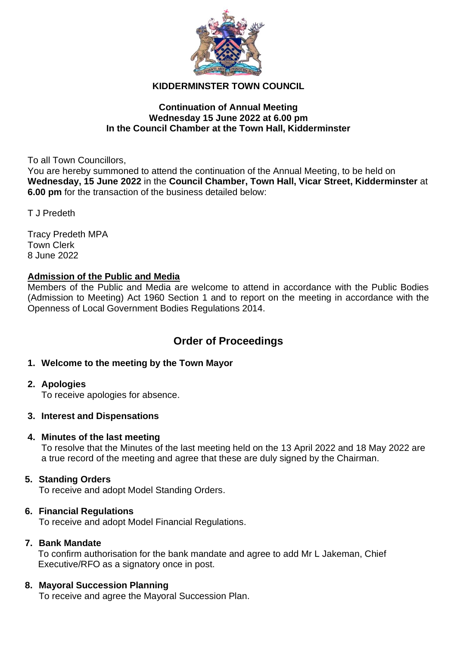

# **KIDDERMINSTER TOWN COUNCIL**

## **Continuation of Annual Meeting Wednesday 15 June 2022 at 6.00 pm In the Council Chamber at the Town Hall, Kidderminster**

To all Town Councillors,

You are hereby summoned to attend the continuation of the Annual Meeting, to be held on **Wednesday, 15 June 2022** in the **Council Chamber, Town Hall, Vicar Street, Kidderminster** at **6.00 pm** for the transaction of the business detailed below:

T J Predeth

Tracy Predeth MPA Town Clerk 8 June 2022

## **Admission of the Public and Media**

Members of the Public and Media are welcome to attend in accordance with the Public Bodies (Admission to Meeting) Act 1960 Section 1 and to report on the meeting in accordance with the Openness of Local Government Bodies Regulations 2014.

# **Order of Proceedings**

# **1. Welcome to the meeting by the Town Mayor**

## **2. Apologies**

To receive apologies for absence.

## **3. Interest and Dispensations**

## **4. Minutes of the last meeting**

To resolve that the Minutes of the last meeting held on the 13 April 2022 and 18 May 2022 are a true record of the meeting and agree that these are duly signed by the Chairman.

# **5. Standing Orders**

To receive and adopt Model Standing Orders.

## **6. Financial Regulations**

To receive and adopt Model Financial Regulations.

## **7. Bank Mandate**

To confirm authorisation for the bank mandate and agree to add Mr L Jakeman, Chief Executive/RFO as a signatory once in post.

## **8. Mayoral Succession Planning**

To receive and agree the Mayoral Succession Plan.